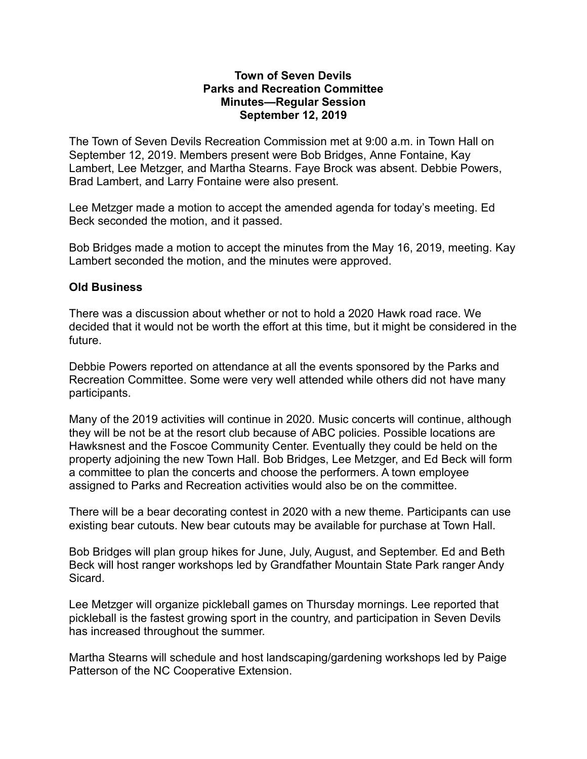## **Town of Seven Devils Parks and Recreation Committee Minutes—Regular Session September 12, 2019**

The Town of Seven Devils Recreation Commission met at 9:00 a.m. in Town Hall on September 12, 2019. Members present were Bob Bridges, Anne Fontaine, Kay Lambert, Lee Metzger, and Martha Stearns. Faye Brock was absent. Debbie Powers, Brad Lambert, and Larry Fontaine were also present.

Lee Metzger made a motion to accept the amended agenda for today's meeting. Ed Beck seconded the motion, and it passed.

Bob Bridges made a motion to accept the minutes from the May 16, 2019, meeting. Kay Lambert seconded the motion, and the minutes were approved.

## **Old Business**

There was a discussion about whether or not to hold a 2020 Hawk road race. We decided that it would not be worth the effort at this time, but it might be considered in the future.

Debbie Powers reported on attendance at all the events sponsored by the Parks and Recreation Committee. Some were very well attended while others did not have many participants.

Many of the 2019 activities will continue in 2020. Music concerts will continue, although they will be not be at the resort club because of ABC policies. Possible locations are Hawksnest and the Foscoe Community Center. Eventually they could be held on the property adjoining the new Town Hall. Bob Bridges, Lee Metzger, and Ed Beck will form a committee to plan the concerts and choose the performers. A town employee assigned to Parks and Recreation activities would also be on the committee.

There will be a bear decorating contest in 2020 with a new theme. Participants can use existing bear cutouts. New bear cutouts may be available for purchase at Town Hall.

Bob Bridges will plan group hikes for June, July, August, and September. Ed and Beth Beck will host ranger workshops led by Grandfather Mountain State Park ranger Andy Sicard.

Lee Metzger will organize pickleball games on Thursday mornings. Lee reported that pickleball is the fastest growing sport in the country, and participation in Seven Devils has increased throughout the summer.

Martha Stearns will schedule and host landscaping/gardening workshops led by Paige Patterson of the NC Cooperative Extension.